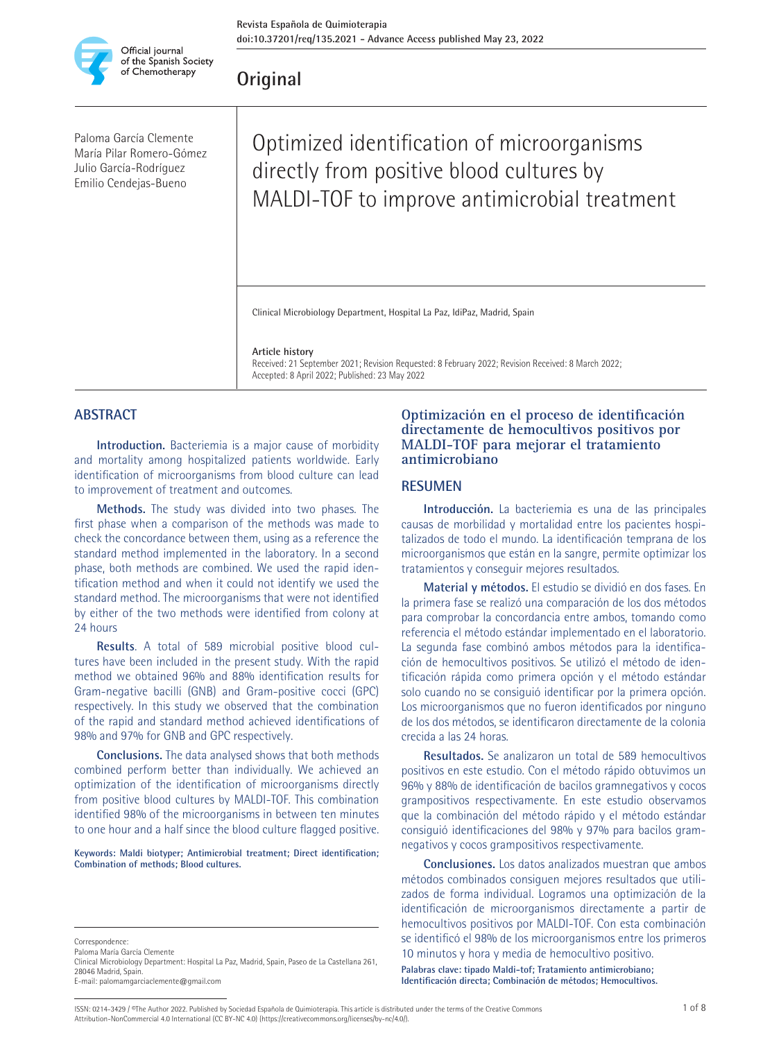

**Original**

Paloma García Clemente María Pilar Romero-Gómez Julio García-Rodríguez Emilio Cendejas-Bueno

# Optimized identification of microorganisms directly from positive blood cultures by MALDI-TOF to improve antimicrobial treatment

Clinical Microbiology Department, Hospital La Paz, IdiPaz, Madrid, Spain

**Article history**

Received: 21 September 2021; Revision Requested: 8 February 2022; Revision Received: 8 March 2022; Accepted: 8 April 2022; Published: 23 May 2022

## **ABSTRACT**

**Introduction.** Bacteriemia is a major cause of morbidity and mortality among hospitalized patients worldwide. Early identification of microorganisms from blood culture can lead to improvement of treatment and outcomes.

**Methods.** The study was divided into two phases. The first phase when a comparison of the methods was made to check the concordance between them, using as a reference the standard method implemented in the laboratory. In a second phase, both methods are combined. We used the rapid identification method and when it could not identify we used the standard method. The microorganisms that were not identified by either of the two methods were identified from colony at 24 hours

**Results**. A total of 589 microbial positive blood cultures have been included in the present study. With the rapid method we obtained 96% and 88% identification results for Gram-negative bacilli (GNB) and Gram-positive cocci (GPC) respectively. In this study we observed that the combination of the rapid and standard method achieved identifications of 98% and 97% for GNB and GPC respectively.

**Conclusions.** The data analysed shows that both methods combined perform better than individually. We achieved an optimization of the identification of microorganisms directly from positive blood cultures by MALDI-TOF. This combination identified 98% of the microorganisms in between ten minutes to one hour and a half since the blood culture flagged positive.

**Keywords: Maldi biotyper; Antimicrobial treatment; Direct identification; Combination of methods; Blood cultures.** 

## **Optimización en el proceso de identificación directamente de hemocultivos positivos por MALDI-TOF para mejorar el tratamiento antimicrobiano**

### **RESUMEN**

**Introducción.** La bacteriemia es una de las principales causas de morbilidad y mortalidad entre los pacientes hospitalizados de todo el mundo. La identificación temprana de los microorganismos que están en la sangre, permite optimizar los tratamientos y conseguir mejores resultados.

**Material y métodos.** El estudio se dividió en dos fases. En la primera fase se realizó una comparación de los dos métodos para comprobar la concordancia entre ambos, tomando como referencia el método estándar implementado en el laboratorio. La segunda fase combinó ambos métodos para la identificación de hemocultivos positivos. Se utilizó el método de identificación rápida como primera opción y el método estándar solo cuando no se consiguió identificar por la primera opción. Los microorganismos que no fueron identificados por ninguno de los dos métodos, se identificaron directamente de la colonia crecida a las 24 horas.

**Resultados.** Se analizaron un total de 589 hemocultivos positivos en este estudio. Con el método rápido obtuvimos un 96% y 88% de identificación de bacilos gramnegativos y cocos grampositivos respectivamente. En este estudio observamos que la combinación del método rápido y el método estándar consiguió identificaciones del 98% y 97% para bacilos gramnegativos y cocos grampositivos respectivamente.

**Conclusiones.** Los datos analizados muestran que ambos métodos combinados consiguen mejores resultados que utilizados de forma individual. Logramos una optimización de la identificación de microorganismos directamente a partir de hemocultivos positivos por MALDI-TOF. Con esta combinación se identificó el 98% de los microorganismos entre los primeros 10 minutos y hora y media de hemocultivo positivo.

**Palabras clave: tipado Maldi-tof; Tratamiento antimicrobiano; Identificación directa; Combinación de métodos; Hemocultivos.**

Paloma María García Clemente

ISSN: 0214-3429 / ©The Author 2022. Published by Sociedad Española de Quimioterapia. This article is distributed under the terms of the Creative Commons 1 of 8 Attribution-NonCommercial 4.0 International (CC BY-NC 4.0) (https://creativecommons.org/licenses/by-nc/4.0/).

**Correspondence** 

Clinical Microbiology Department: Hospital La Paz, Madrid, Spain, Paseo de La Castellana 261, 28046 Madrid, Spain. E-mail: palomamgarciaclemente@gmail.com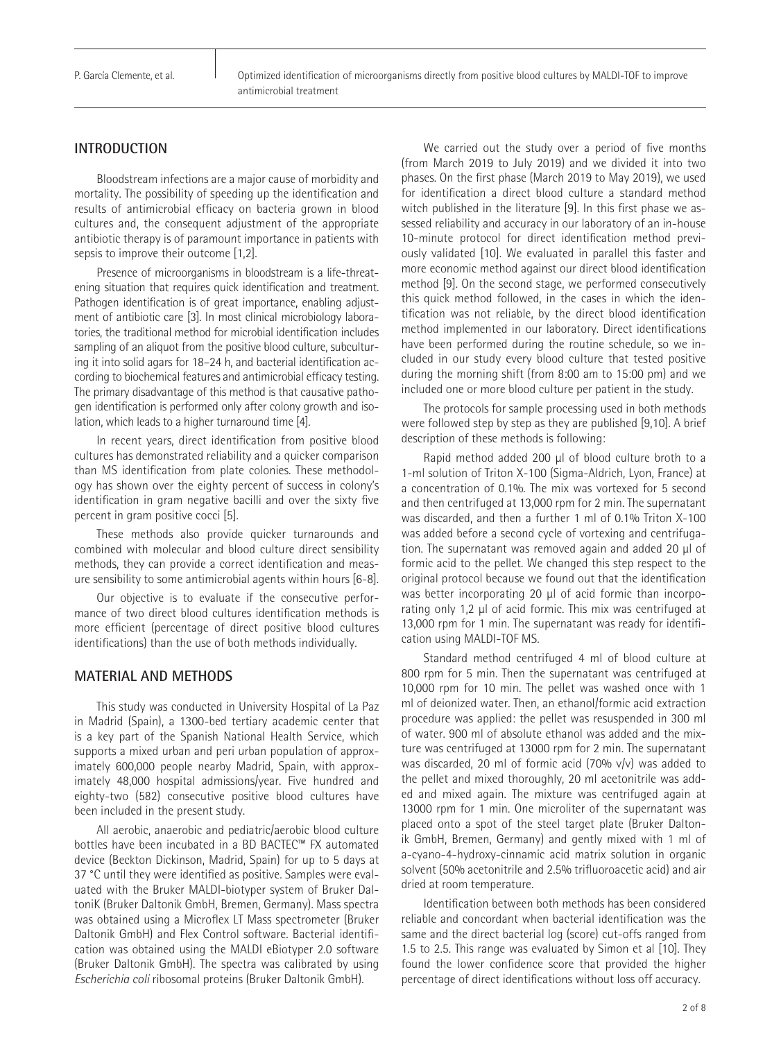P. García Clemente, et al.

## **INTRODUCTION**

Bloodstream infections are a major cause of morbidity and mortality. The possibility of speeding up the identification and results of antimicrobial efficacy on bacteria grown in blood cultures and, the consequent adjustment of the appropriate antibiotic therapy is of paramount importance in patients with sepsis to improve their outcome [1,2].

Presence of microorganisms in bloodstream is a life-threatening situation that requires quick identification and treatment. Pathogen identification is of great importance, enabling adjustment of antibiotic care [3]. In most clinical microbiology laboratories, the traditional method for microbial identification includes sampling of an aliquot from the positive blood culture, subculturing it into solid agars for 18–24 h, and bacterial identification according to biochemical features and antimicrobial efficacy testing. The primary disadvantage of this method is that causative pathogen identification is performed only after colony growth and isolation, which leads to a higher turnaround time [4].

In recent years, direct identification from positive blood cultures has demonstrated reliability and a quicker comparison than MS identification from plate colonies. These methodology has shown over the eighty percent of success in colony's identification in gram negative bacilli and over the sixty five percent in gram positive cocci [5].

These methods also provide quicker turnarounds and combined with molecular and blood culture direct sensibility methods, they can provide a correct identification and measure sensibility to some antimicrobial agents within hours [6-8].

Our objective is to evaluate if the consecutive performance of two direct blood cultures identification methods is more efficient (percentage of direct positive blood cultures identifications) than the use of both methods individually.

## **MATERIAL AND METHODS**

This study was conducted in University Hospital of La Paz in Madrid (Spain), a 1300-bed tertiary academic center that is a key part of the Spanish National Health Service, which supports a mixed urban and peri urban population of approximately 600,000 people nearby Madrid, Spain, with approximately 48,000 hospital admissions/year. Five hundred and eighty-two (582) consecutive positive blood cultures have been included in the present study.

All aerobic, anaerobic and pediatric/aerobic blood culture bottles have been incubated in a BD BACTEC™ FX automated device (Beckton Dickinson, Madrid, Spain) for up to 5 days at 37 °C until they were identified as positive. Samples were evaluated with the Bruker MALDI-biotyper system of Bruker DaltoniK (Bruker Daltonik GmbH, Bremen, Germany). Mass spectra was obtained using a Microflex LT Mass spectrometer (Bruker Daltonik GmbH) and Flex Control software. Bacterial identification was obtained using the MALDI eBiotyper 2.0 software (Bruker Daltonik GmbH). The spectra was calibrated by using *Escherichia coli* ribosomal proteins (Bruker Daltonik GmbH).

We carried out the study over a period of five months (from March 2019 to July 2019) and we divided it into two phases. On the first phase (March 2019 to May 2019), we used for identification a direct blood culture a standard method witch published in the literature [9]. In this first phase we assessed reliability and accuracy in our laboratory of an in-house 10-minute protocol for direct identification method previously validated [10]. We evaluated in parallel this faster and more economic method against our direct blood identification method [9]. On the second stage, we performed consecutively this quick method followed, in the cases in which the identification was not reliable, by the direct blood identification method implemented in our laboratory. Direct identifications have been performed during the routine schedule, so we included in our study every blood culture that tested positive during the morning shift (from 8:00 am to 15:00 pm) and we included one or more blood culture per patient in the study.

The protocols for sample processing used in both methods were followed step by step as they are published [9,10]. A brief description of these methods is following:

Rapid method added 200 µl of blood culture broth to a 1-ml solution of Triton X-100 (Sigma-Aldrich, Lyon, France) at a concentration of 0.1%. The mix was vortexed for 5 second and then centrifuged at 13,000 rpm for 2 min. The supernatant was discarded, and then a further 1 ml of 0.1% Triton X-100 was added before a second cycle of vortexing and centrifugation. The supernatant was removed again and added 20 µl of formic acid to the pellet. We changed this step respect to the original protocol because we found out that the identification was better incorporating 20 µl of acid formic than incorporating only 1,2 µl of acid formic. This mix was centrifuged at 13,000 rpm for 1 min. The supernatant was ready for identification using MALDI-TOF MS.

Standard method centrifuged 4 ml of blood culture at 800 rpm for 5 min. Then the supernatant was centrifuged at 10,000 rpm for 10 min. The pellet was washed once with 1 ml of deionized water. Then, an ethanol/formic acid extraction procedure was applied: the pellet was resuspended in 300 ml of water. 900 ml of absolute ethanol was added and the mixture was centrifuged at 13000 rpm for 2 min. The supernatant was discarded, 20 ml of formic acid (70% v/v) was added to the pellet and mixed thoroughly, 20 ml acetonitrile was added and mixed again. The mixture was centrifuged again at 13000 rpm for 1 min. One microliter of the supernatant was placed onto a spot of the steel target plate (Bruker Daltonik GmbH, Bremen, Germany) and gently mixed with 1 ml of a-cyano-4-hydroxy-cinnamic acid matrix solution in organic solvent (50% acetonitrile and 2.5% trifluoroacetic acid) and air dried at room temperature.

Identification between both methods has been considered reliable and concordant when bacterial identification was the same and the direct bacterial log (score) cut-offs ranged from 1.5 to 2.5. This range was evaluated by Simon et al [10]. They found the lower confidence score that provided the higher percentage of direct identifications without loss off accuracy.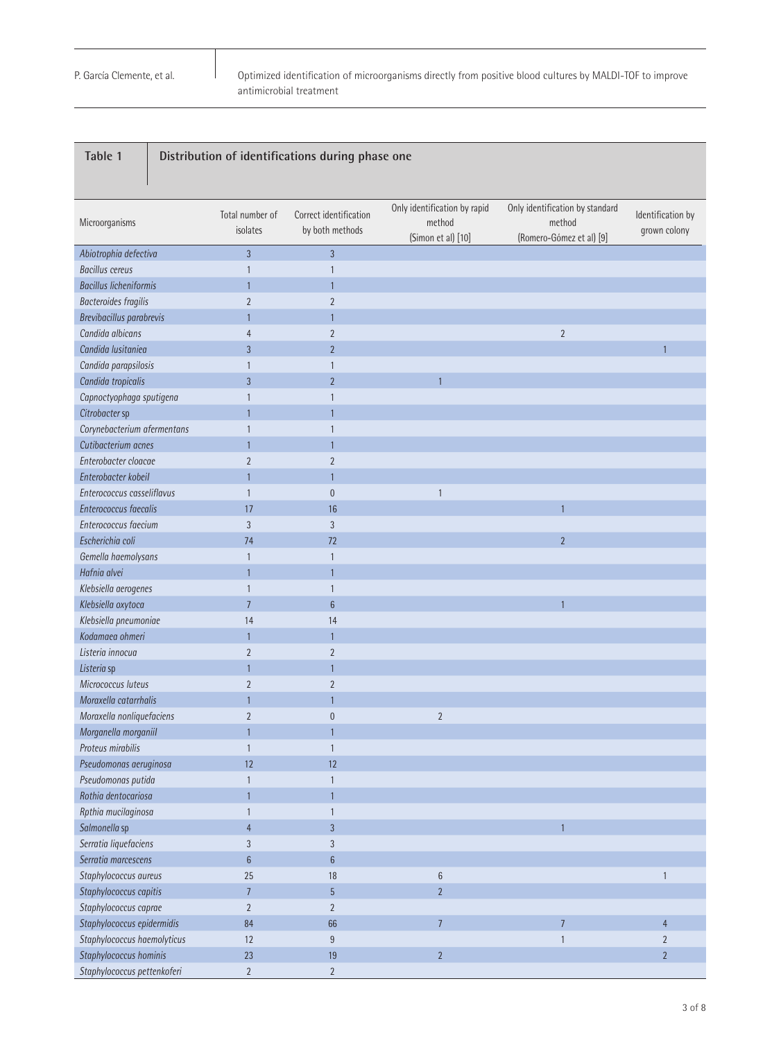Microorganisms Total number of isolates Correct identification by both methods Only identification by rapid method (Simon et al) [10] Only identification by standard method (Romero-Gómez et al) [9] Identification by grown colony *Abiotrophia defectiva* 3 3 *Bacillus cereus* 1 1 *Bacillus licheniformis* 1 1 *Bacteroides fragilis* 2 2 *Brevibacillus parabrevis* 1 1 *Candida albicans* 4 2 2 *Candida lusitaniea* 3 2 1 *Candida parapsilosis* 1 1 *Candida tropicalis* 3 2 1 *Capnoctyophaga sputigena* 1 1 *Citrobacter* sp 1 1 *Corynebacterium afermentans* 1 1 *Cutibacterium acnes* 1 1 *Enterobacter cloacae* 2 2 *Enterobacter kobeiI* 1 1 *Enterococcus casseliflavus* 1 0 1 **Enterococcus faecalis** 17 16 *Enterococcus faecium* 3 3 *Escherichia coli* 74 72 2 *Gemella haemolysans* 1 1 *Hafnia alvei* 1 1 *Klebsiella aerogenes* 1 1 *Klebsiella oxytoca* 7 6 1 *Klebsiella pneumoniae* 14 14 *Kodamaea ohmeri* 1 1 *Listeria innocua* 2 2 *Listeria* sp 1 1 *Micrococcus luteus* 2 2 *Moraxella catarrhalis* 1 1 *Moraxella nonliquefaciens* 2 0 2 *Morganella morganiiI* 1 1 *Proteus mirabilis* 1 1 *Pseudomonas aeruginosa* 12 12 *Pseudomonas putida* 1 1 *Rothia dentocariosa* 1 1 *Rpthia mucilaginosa* 1 1 *Salmonella* sp 4 3 1 *Serratia liquefaciens* 3 3 *Serratia marcescens* 6 6 *Staphylococcus aureus* 25 18 6 1 *Staphylococcus capitis* 7 5 2 *Staphylococcus caprae* 2 2 *Staphylococcus epidermidis* 84 66 7 7 4 *Staphylococcus haemolyticus* 12 9 1 2 *Staphylococcus hominis* 23 19 2 2 *Staphylococcus pettenkoferi* 2 2 **Table 1 Distribution of identifications during phase one**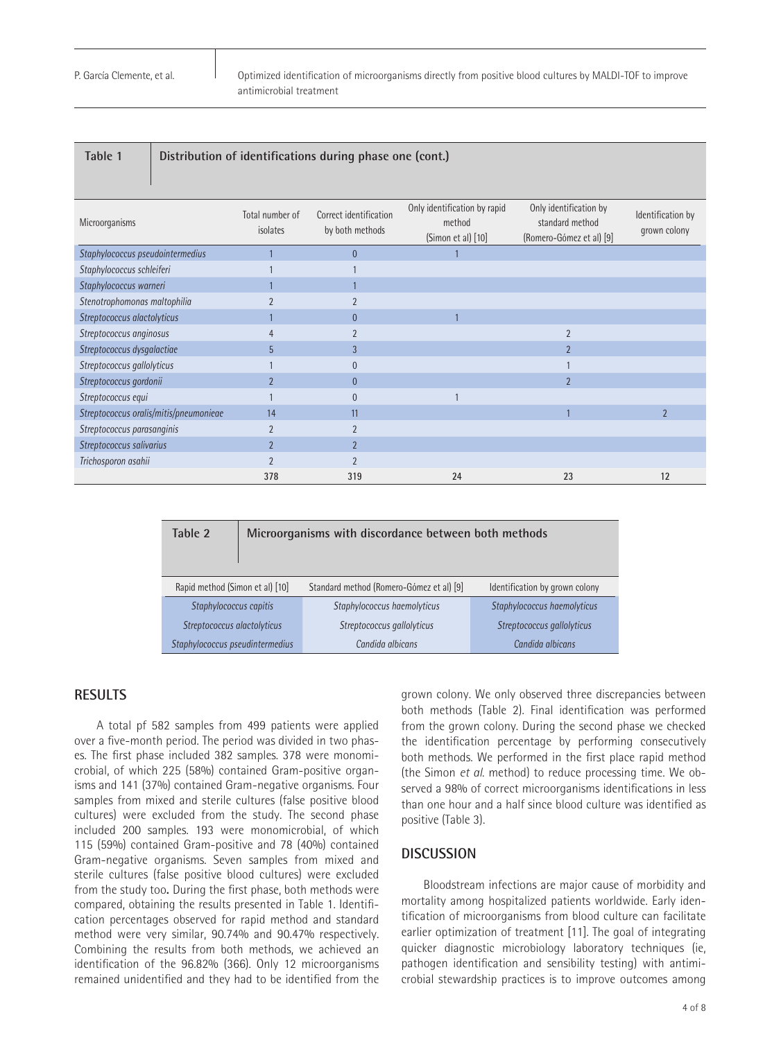#### **Table 1 Distribution of identifications during phase one (cont.)**

| Microorganisms                         | Total number of<br>isolates | Correct identification<br>by both methods | Only identification by rapid<br>method<br>(Simon et al) [10] | Only identification by<br>standard method<br>(Romero-Gómez et al) [9] | Identification by<br>grown colony |
|----------------------------------------|-----------------------------|-------------------------------------------|--------------------------------------------------------------|-----------------------------------------------------------------------|-----------------------------------|
| Staphylococcus pseudointermedius       |                             | $\mathbf{0}$                              |                                                              |                                                                       |                                   |
| Staphylococcus schleiferi              |                             |                                           |                                                              |                                                                       |                                   |
| Staphylococcus warneri                 |                             |                                           |                                                              |                                                                       |                                   |
| Stenotrophomonas maltophilia           | $\overline{2}$              |                                           |                                                              |                                                                       |                                   |
| Streptococcus alactolyticus            |                             | $\theta$                                  |                                                              |                                                                       |                                   |
| Streptococcus anginosus                | 4                           | $\overline{2}$                            |                                                              | $\overline{2}$                                                        |                                   |
| Streptococcus dysgalactiae             | 5                           | 3                                         |                                                              | $\overline{2}$                                                        |                                   |
| Streptococcus gallolyticus             |                             | $\theta$                                  |                                                              |                                                                       |                                   |
| Streptococcus gordonii                 | $\overline{2}$              | $\mathbf{0}$                              |                                                              | $\overline{2}$                                                        |                                   |
| Streptococcus equi                     |                             | $\overline{0}$                            |                                                              |                                                                       |                                   |
| Streptococcus oralis/mitis/pneumonieae | 14                          | 11                                        |                                                              |                                                                       | $\overline{2}$                    |
| Streptococcus parasanginis             | $\overline{2}$              | $\overline{2}$                            |                                                              |                                                                       |                                   |
| Streptococcus salivarius               | $\overline{2}$              | $\overline{2}$                            |                                                              |                                                                       |                                   |
| Trichosporon asahii                    | $\overline{\phantom{a}}$    | $\overline{2}$                            |                                                              |                                                                       |                                   |
|                                        | 378                         | 319                                       | 24                                                           | 23                                                                    | 12                                |

| Table 2                         | Microorganisms with discordance between both methods |                                                            |                                |  |  |  |
|---------------------------------|------------------------------------------------------|------------------------------------------------------------|--------------------------------|--|--|--|
| Rapid method (Simon et al) [10] |                                                      | Standard method (Romero-Gómez et al) [9]                   | Identification by grown colony |  |  |  |
| Staphylococcus capitis          |                                                      | Staphylococcus haemolyticus<br>Staphylococcus haemolyticus |                                |  |  |  |
| Streptococcus alactolyticus     |                                                      | Streptococcus gallolyticus                                 | Streptococcus gallolyticus     |  |  |  |
| Staphylococcus pseudintermedius |                                                      | Candida albicans<br>Candida albicans                       |                                |  |  |  |

## **RESULTS**

A total pf 582 samples from 499 patients were applied over a five-month period. The period was divided in two phases. The first phase included 382 samples. 378 were monomicrobial, of which 225 (58%) contained Gram-positive organisms and 141 (37%) contained Gram-negative organisms. Four samples from mixed and sterile cultures (false positive blood cultures) were excluded from the study. The second phase included 200 samples. 193 were monomicrobial, of which 115 (59%) contained Gram-positive and 78 (40%) contained Gram-negative organisms. Seven samples from mixed and sterile cultures (false positive blood cultures) were excluded from the study too**.** During the first phase, both methods were compared, obtaining the results presented in Table 1. Identification percentages observed for rapid method and standard method were very similar, 90.74% and 90.47% respectively. Combining the results from both methods, we achieved an identification of the 96.82% (366). Only 12 microorganisms remained unidentified and they had to be identified from the

grown colony. We only observed three discrepancies between both methods (Table 2). Final identification was performed from the grown colony. During the second phase we checked the identification percentage by performing consecutively both methods. We performed in the first place rapid method (the Simon *et al*. method) to reduce processing time. We observed a 98% of correct microorganisms identifications in less than one hour and a half since blood culture was identified as positive (Table 3).

## **DISCUSSION**

Bloodstream infections are major cause of morbidity and mortality among hospitalized patients worldwide. Early identification of microorganisms from blood culture can facilitate earlier optimization of treatment [11]. The goal of integrating quicker diagnostic microbiology laboratory techniques (ie, pathogen identification and sensibility testing) with antimicrobial stewardship practices is to improve outcomes among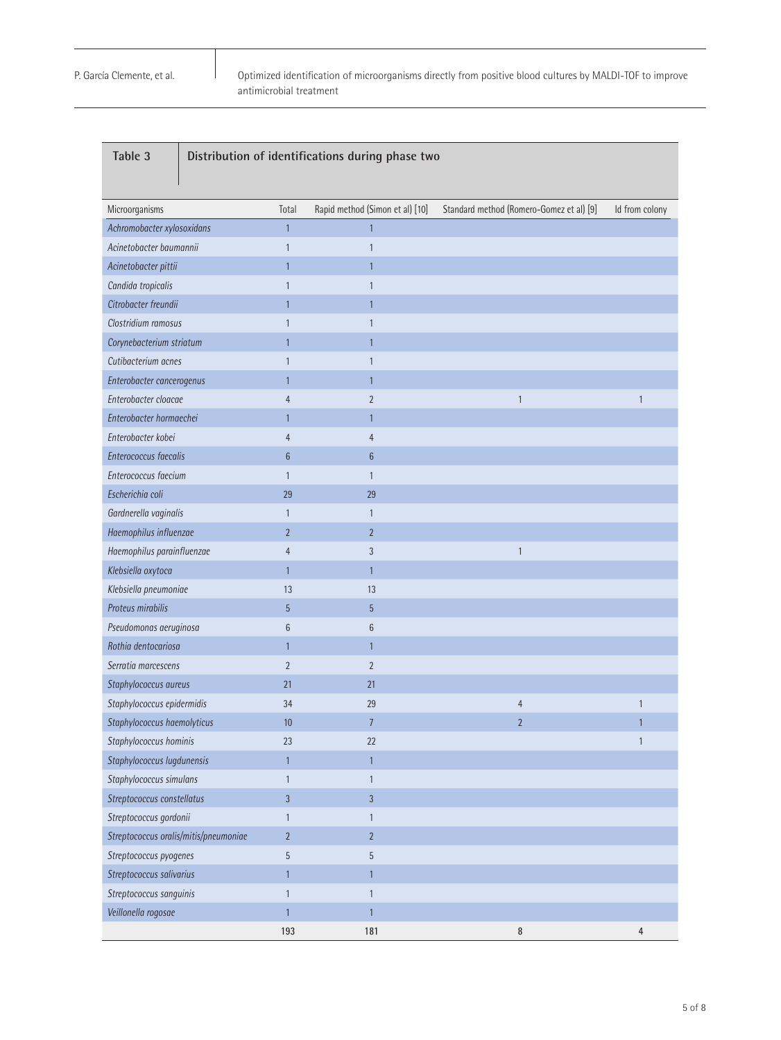Optimized identification of microorganisms directly from positive blood cultures by MALDI-TOF to improve antimicrobial treatment

| Table 3<br>Distribution of identifications during phase two |                   |                                 |                                          |                |  |
|-------------------------------------------------------------|-------------------|---------------------------------|------------------------------------------|----------------|--|
| Microorganisms                                              | Total             | Rapid method (Simon et al) [10] | Standard method (Romero-Gomez et al) [9] | Id from colony |  |
| Achromobacter xylosoxidans                                  | $\mathbf{1}$      | 1                               |                                          |                |  |
| Acinetobacter baumannii                                     | 1                 | 1                               |                                          |                |  |
| Acinetobacter pittii                                        | 1                 |                                 |                                          |                |  |
| Candida tropicalis                                          | $\mathbf{1}$      | 1                               |                                          |                |  |
| Citrobacter freundii                                        | $\mathbf{1}$      | 1                               |                                          |                |  |
| Clostridium ramosus                                         | 1                 |                                 |                                          |                |  |
| Corynebacterium striatum                                    | 1                 |                                 |                                          |                |  |
| Cutibacterium acnes                                         | $\mathbf{1}$      | 1                               |                                          |                |  |
| Enterobacter cancerogenus                                   | $\mathbf{1}$      | 1                               |                                          |                |  |
| Enterobacter cloacae                                        | 4                 | $\overline{2}$                  | 1                                        | $\mathbf{1}$   |  |
| Enterobacter hormaechei                                     | $\mathbf{1}$      | 1                               |                                          |                |  |
| Enterobacter kobei                                          | $\overline{4}$    | 4                               |                                          |                |  |
| Enterococcus faecalis                                       | $6\phantom{.}6$   | $6\phantom{.}6$                 |                                          |                |  |
| Enterococcus faecium                                        | $\mathbf{1}$      | $\mathbf{1}$                    |                                          |                |  |
| Escherichia coli                                            | 29                | 29                              |                                          |                |  |
| Gardnerella vaginalis                                       | $\mathbf{1}$      | 1                               |                                          |                |  |
| Haemophilus influenzae                                      | $\overline{2}$    | $\overline{2}$                  |                                          |                |  |
| Haemophilus parainfluenzae                                  | 4                 | $\overline{3}$                  | 1                                        |                |  |
| Klebsiella oxytoca                                          | $\mathbf{1}$      | 1                               |                                          |                |  |
| Klebsiella pneumoniae                                       | 13                | 13                              |                                          |                |  |
| Proteus mirabilis                                           | 5                 | 5                               |                                          |                |  |
| Pseudomonas aeruginosa                                      | 6                 | 6                               |                                          |                |  |
| Rothia dentocariosa                                         | $\mathbf{1}$      | 1                               |                                          |                |  |
| Serratia marcescens                                         | $\overline{2}$    | $\overline{2}$                  |                                          |                |  |
| Staphylococcus aureus                                       | 21                | 21                              |                                          |                |  |
| Staphylococcus epidermidis                                  | 34                | 29                              | 4                                        | 1              |  |
| Staphylococcus haemolyticus                                 | 10                | $\overline{7}$                  | 2                                        |                |  |
| Staphylococcus hominis                                      | 23                | 22                              |                                          | $\mathbf{1}$   |  |
| Staphylococcus lugdunensis                                  | $\mathbf{1}$      | $\mathbf{1}$                    |                                          |                |  |
| Staphylococcus simulans<br>$\mathbf{1}$                     |                   | 1                               |                                          |                |  |
| Streptococcus constellatus<br>$\overline{3}$                |                   | $\mathfrak{Z}$                  |                                          |                |  |
| Streptococcus gordonii                                      | $\mathbf{1}$<br>1 |                                 |                                          |                |  |
| Streptococcus oralis/mitis/pneumoniae                       | $\overline{2}$    | $\overline{2}$                  |                                          |                |  |
| Streptococcus pyogenes                                      | 5                 | 5                               |                                          |                |  |
| Streptococcus salivarius                                    | $\mathbf{1}$      | $\mathbf{1}$                    |                                          |                |  |
| Streptococcus sanguinis                                     | 1                 | 1                               |                                          |                |  |
| Veillonella rogosae                                         | $\mathbf{1}$      | 1                               |                                          |                |  |
|                                                             | 193               | 181                             | $\, 8$                                   | $\overline{4}$ |  |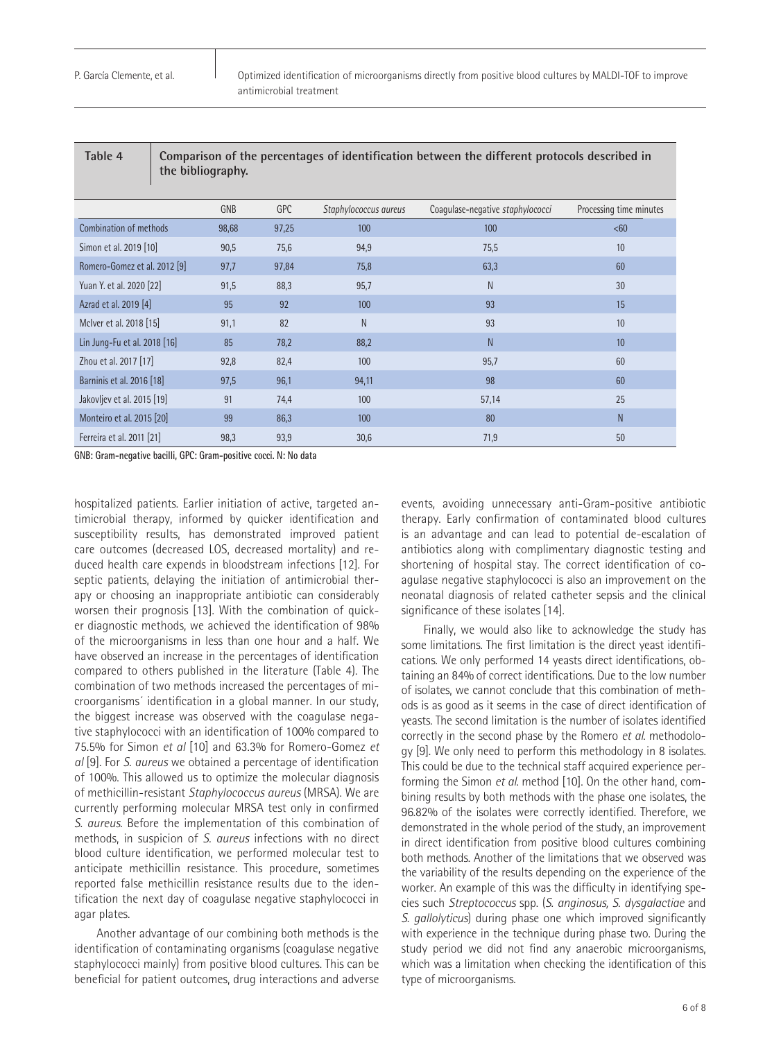| Table 4                       | Comparison of the percentages of identification between the different protocols described in<br>the bibliography. |       |       |                       |                                  |                         |
|-------------------------------|-------------------------------------------------------------------------------------------------------------------|-------|-------|-----------------------|----------------------------------|-------------------------|
|                               |                                                                                                                   | GNB   | GPC   | Staphylococcus aureus | Coagulase-negative staphylococci | Processing time minutes |
| <b>Combination of methods</b> |                                                                                                                   | 98,68 | 97,25 | 100                   | 100                              | <60                     |
| Simon et al. 2019 [10]        |                                                                                                                   | 90,5  | 75,6  | 94,9                  | 75,5                             | 10 <sup>1</sup>         |
| Romero-Gomez et al. 2012 [9]  |                                                                                                                   | 97,7  | 97,84 | 75,8                  | 63,3                             | 60                      |
| Yuan Y. et al. 2020 [22]      |                                                                                                                   | 91,5  | 88,3  | 95,7                  | N                                | 30                      |
| Azrad et al. 2019 [4]         |                                                                                                                   | 95    | 92    | 100                   | 93                               | 15                      |
| McIver et al. 2018 [15]       |                                                                                                                   | 91,1  | 82    | N                     | 93                               | 10 <sup>10</sup>        |
| Lin Jung-Fu et al. 2018 [16]  |                                                                                                                   | 85    | 78,2  | 88,2                  | N                                | 10 <sup>°</sup>         |
| Zhou et al. 2017 [17]         |                                                                                                                   | 92,8  | 82,4  | 100                   | 95,7                             | 60                      |
| Barninis et al. 2016 [18]     |                                                                                                                   | 97,5  | 96,1  | 94,11                 | 98                               | 60                      |
| Jakovljev et al. 2015 [19]    |                                                                                                                   | 91    | 74,4  | 100                   | 57,14                            | 25                      |
| Monteiro et al. 2015 [20]     |                                                                                                                   | 99    | 86,3  | 100                   | 80                               | N                       |
| Ferreira et al. 2011 [21]     |                                                                                                                   | 98,3  | 93,9  | 30,6                  | 71,9                             | 50                      |

**GNB: Gram-negative bacilli, GPC: Gram-positive cocci. N: No data**

hospitalized patients. Earlier initiation of active, targeted antimicrobial therapy, informed by quicker identification and susceptibility results, has demonstrated improved patient care outcomes (decreased LOS, decreased mortality) and reduced health care expends in bloodstream infections [12]. For septic patients, delaying the initiation of antimicrobial therapy or choosing an inappropriate antibiotic can considerably worsen their prognosis [13]. With the combination of quicker diagnostic methods, we achieved the identification of 98% of the microorganisms in less than one hour and a half. We have observed an increase in the percentages of identification compared to others published in the literature (Table 4). The combination of two methods increased the percentages of microorganisms´ identification in a global manner. In our study, the biggest increase was observed with the coagulase negative staphylococci with an identification of 100% compared to 75.5% for Simon *et al* [10] and 63.3% for Romero-Gomez *et al* [9]. For *S. aureus* we obtained a percentage of identification of 100%. This allowed us to optimize the molecular diagnosis of methicillin-resistant *Staphylococcus aureus* (MRSA). We are currently performing molecular MRSA test only in confirmed *S. aureus*. Before the implementation of this combination of methods, in suspicion of *S. aureus* infections with no direct blood culture identification, we performed molecular test to anticipate methicillin resistance. This procedure, sometimes reported false methicillin resistance results due to the identification the next day of coagulase negative staphylococci in agar plates.

Another advantage of our combining both methods is the identification of contaminating organisms (coagulase negative staphylococci mainly) from positive blood cultures. This can be beneficial for patient outcomes, drug interactions and adverse events, avoiding unnecessary anti-Gram-positive antibiotic therapy. Early confirmation of contaminated blood cultures is an advantage and can lead to potential de-escalation of antibiotics along with complimentary diagnostic testing and shortening of hospital stay. The correct identification of coagulase negative staphylococci is also an improvement on the neonatal diagnosis of related catheter sepsis and the clinical significance of these isolates [14].

Finally, we would also like to acknowledge the study has some limitations. The first limitation is the direct yeast identifications. We only performed 14 yeasts direct identifications, obtaining an 84% of correct identifications. Due to the low number of isolates, we cannot conclude that this combination of methods is as good as it seems in the case of direct identification of yeasts. The second limitation is the number of isolates identified correctly in the second phase by the Romero *et al*. methodology [9]. We only need to perform this methodology in 8 isolates. This could be due to the technical staff acquired experience performing the Simon *et al*. method [10]. On the other hand, combining results by both methods with the phase one isolates, the 96.82% of the isolates were correctly identified. Therefore, we demonstrated in the whole period of the study, an improvement in direct identification from positive blood cultures combining both methods. Another of the limitations that we observed was the variability of the results depending on the experience of the worker. An example of this was the difficulty in identifying species such *Streptococcus* spp. (*S. anginosus, S. dysgalactiae* and *S. gallolyticus*) during phase one which improved significantly with experience in the technique during phase two. During the study period we did not find any anaerobic microorganisms, which was a limitation when checking the identification of this type of microorganisms.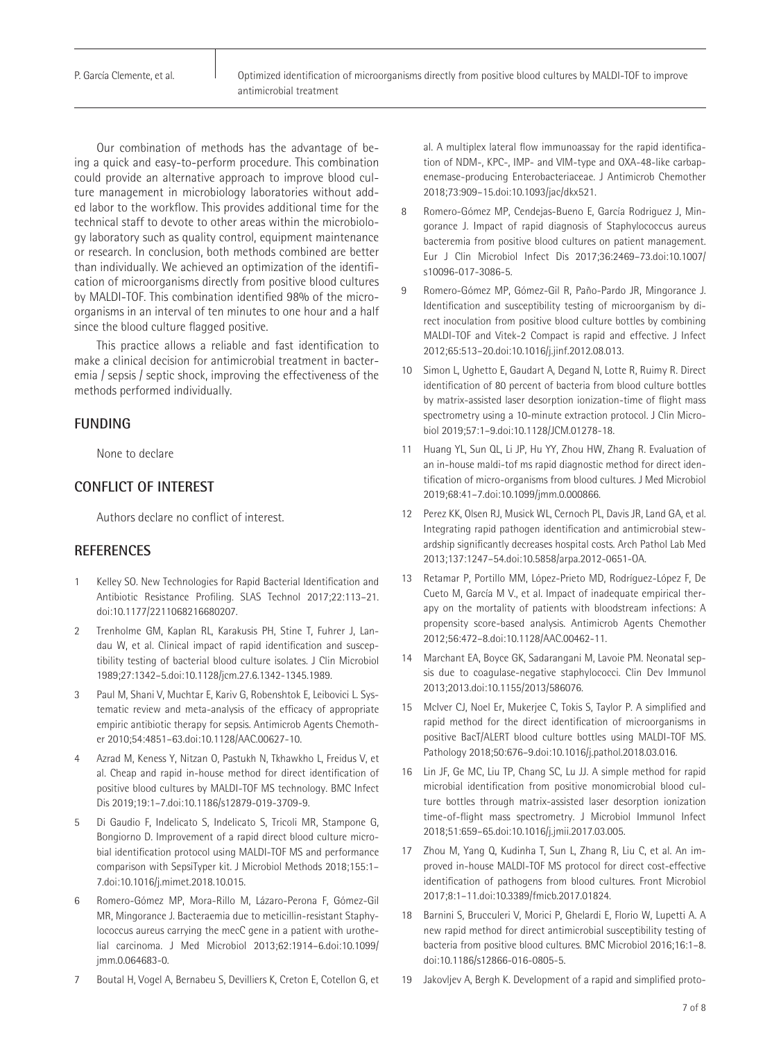P. García Clemente, et al.

Our combination of methods has the advantage of being a quick and easy-to-perform procedure. This combination could provide an alternative approach to improve blood culture management in microbiology laboratories without added labor to the workflow. This provides additional time for the technical staff to devote to other areas within the microbiology laboratory such as quality control, equipment maintenance or research. In conclusion, both methods combined are better than individually. We achieved an optimization of the identification of microorganisms directly from positive blood cultures by MALDI-TOF. This combination identified 98% of the microorganisms in an interval of ten minutes to one hour and a half since the blood culture flagged positive.

This practice allows a reliable and fast identification to make a clinical decision for antimicrobial treatment in bacteremia / sepsis / septic shock, improving the effectiveness of the methods performed individually.

## **FUNDING**

None to declare

# **CONFLICT OF INTEREST**

Authors declare no conflict of interest.

## **REFERENCES**

- 1 Kelley SO. New Technologies for Rapid Bacterial Identification and Antibiotic Resistance Profiling. SLAS Technol 2017;22:113–21. doi:10.1177/2211068216680207.
- 2 Trenholme GM, Kaplan RL, Karakusis PH, Stine T, Fuhrer J, Landau W, et al. Clinical impact of rapid identification and susceptibility testing of bacterial blood culture isolates. J Clin Microbiol 1989;27:1342–5.doi:10.1128/jcm.27.6.1342-1345.1989.
- 3 Paul M, Shani V, Muchtar E, Kariv G, Robenshtok E, Leibovici L. Systematic review and meta-analysis of the efficacy of appropriate empiric antibiotic therapy for sepsis. Antimicrob Agents Chemother 2010;54:4851–63.doi:10.1128/AAC.00627-10.
- Azrad M, Keness Y, Nitzan O, Pastukh N, Tkhawkho L, Freidus V, et al. Cheap and rapid in-house method for direct identification of positive blood cultures by MALDI-TOF MS technology. BMC Infect Dis 2019;19:1–7.doi:10.1186/s12879-019-3709-9.
- 5 Di Gaudio F, Indelicato S, Indelicato S, Tricoli MR, Stampone G, Bongiorno D. Improvement of a rapid direct blood culture microbial identification protocol using MALDI-TOF MS and performance comparison with SepsiTyper kit. J Microbiol Methods 2018;155:1– 7.doi:10.1016/j.mimet.2018.10.015.
- 6 Romero-Gómez MP, Mora-Rillo M, Lázaro-Perona F, Gómez-Gil MR, Mingorance J. Bacteraemia due to meticillin-resistant Staphylococcus aureus carrying the mecC gene in a patient with urothelial carcinoma. J Med Microbiol 2013;62:1914–6.doi:10.1099/ jmm.0.064683-0.
- 7 Boutal H, Vogel A, Bernabeu S, Devilliers K, Creton E, Cotellon G, et

al. A multiplex lateral flow immunoassay for the rapid identification of NDM-, KPC-, IMP- and VIM-type and OXA-48-like carbapenemase-producing Enterobacteriaceae. J Antimicrob Chemother 2018;73:909–15.doi:10.1093/jac/dkx521.

- 8 Romero-Gómez MP, Cendejas-Bueno E, García Rodriguez J, Mingorance J. Impact of rapid diagnosis of Staphylococcus aureus bacteremia from positive blood cultures on patient management. Eur J Clin Microbiol Infect Dis 2017;36:2469–73.doi:10.1007/ s10096-017-3086-5.
- 9 Romero-Gómez MP, Gómez-Gil R, Paño-Pardo JR, Mingorance J. Identification and susceptibility testing of microorganism by direct inoculation from positive blood culture bottles by combining MALDI-TOF and Vitek-2 Compact is rapid and effective. J Infect 2012;65:513–20.doi:10.1016/j.jinf.2012.08.013.
- 10 Simon L, Ughetto E, Gaudart A, Degand N, Lotte R, Ruimy R. Direct identification of 80 percent of bacteria from blood culture bottles by matrix-assisted laser desorption ionization-time of flight mass spectrometry using a 10-minute extraction protocol. J Clin Microbiol 2019;57:1–9.doi:10.1128/JCM.01278-18.
- 11 Huang YL, Sun QL, Li JP, Hu YY, Zhou HW, Zhang R. Evaluation of an in-house maldi-tof ms rapid diagnostic method for direct identification of micro-organisms from blood cultures. J Med Microbiol 2019;68:41–7.doi:10.1099/jmm.0.000866.
- 12 Perez KK, Olsen RJ, Musick WL, Cernoch PL, Davis JR, Land GA, et al. Integrating rapid pathogen identification and antimicrobial stewardship significantly decreases hospital costs. Arch Pathol Lab Med 2013;137:1247–54.doi:10.5858/arpa.2012-0651-OA.
- 13 Retamar P, Portillo MM, López-Prieto MD, Rodríguez-López F, De Cueto M, García M V., et al. Impact of inadequate empirical therapy on the mortality of patients with bloodstream infections: A propensity score-based analysis. Antimicrob Agents Chemother 2012;56:472–8.doi:10.1128/AAC.00462-11.
- 14 Marchant EA, Boyce GK, Sadarangani M, Lavoie PM. Neonatal sepsis due to coagulase-negative staphylococci. Clin Dev Immunol 2013;2013.doi:10.1155/2013/586076.
- 15 McIver CJ, Noel Er, Mukerjee C, Tokis S, Taylor P. A simplified and rapid method for the direct identification of microorganisms in positive BacT/ALERT blood culture bottles using MALDI-TOF MS. Pathology 2018;50:676–9.doi:10.1016/j.pathol.2018.03.016.
- 16 Lin JF, Ge MC, Liu TP, Chang SC, Lu JJ. A simple method for rapid microbial identification from positive monomicrobial blood culture bottles through matrix-assisted laser desorption ionization time-of-flight mass spectrometry. J Microbiol Immunol Infect 2018;51:659–65.doi:10.1016/j.jmii.2017.03.005.
- 17 Zhou M, Yang Q, Kudinha T, Sun L, Zhang R, Liu C, et al. An improved in-house MALDI-TOF MS protocol for direct cost-effective identification of pathogens from blood cultures. Front Microbiol 2017;8:1–11.doi:10.3389/fmicb.2017.01824.
- 18 Barnini S, Brucculeri V, Morici P, Ghelardi E, Florio W, Lupetti A. A new rapid method for direct antimicrobial susceptibility testing of bacteria from positive blood cultures. BMC Microbiol 2016;16:1–8. doi:10.1186/s12866-016-0805-5.
- 19 Jakovljev A, Bergh K. Development of a rapid and simplified proto-